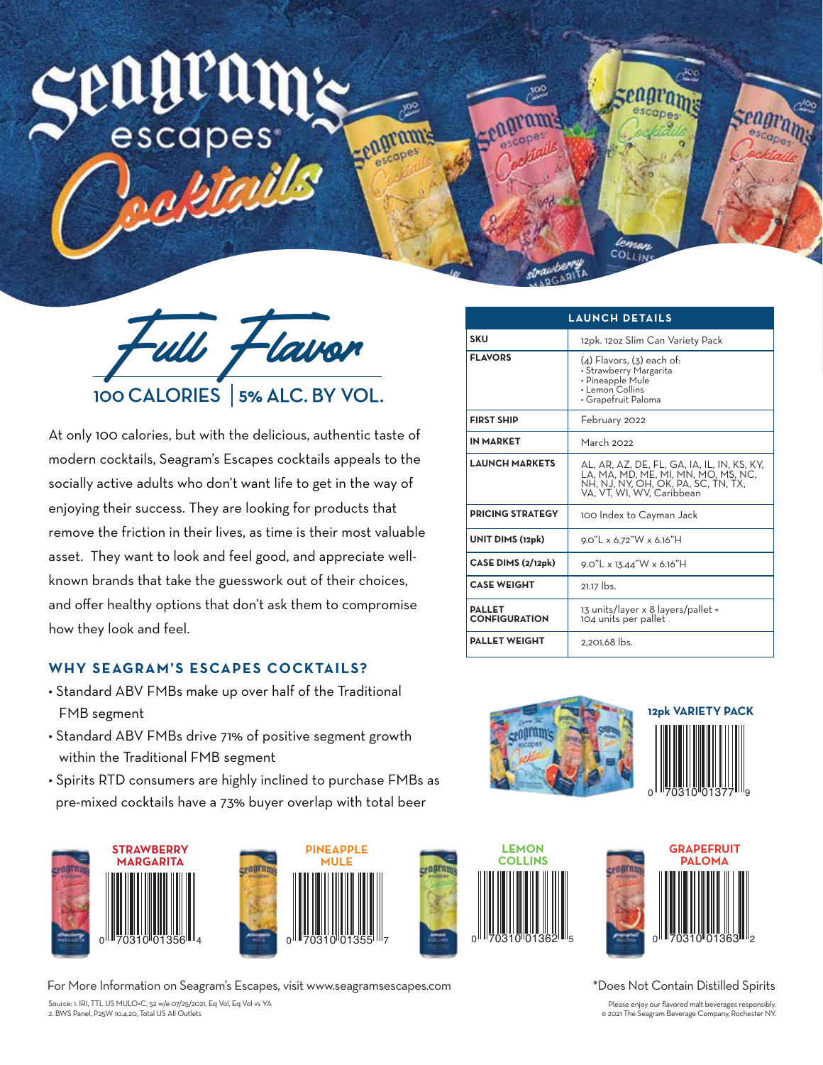# escapes

Full Flavor 100 CALORIES 5% ALC. BY VOL.

eagran

At only 100 calories, but with the delicious, authentic taste of modern cocktails, Seagram's Escapes cocktails appeals to the socially active adults who don't want life to get in the way of enjoying their success. They are looking for products that remove the friction in their lives, as time is their most valuable asset. They want to look and feel good, and appreciate wellknown brands that take the guesswork out of their choices, and offer healthy options that don't ask them to compromise how they look and feel.

## **WHY SEAGRAM'S ESCAPES COCKTAILS?**

- Standard ABV FMBs make up over half of the Traditional FMB segment
- Standard ABV FMBs drive 71% of positive segment growth within the Traditional FMB segment
- Spirits RTD consumers are highly inclined to purchase FMBs as pre-mixed cocktails have a 73% buyer overlap with total beer





Source: 1. IRI, TTL US MULO+C, 52 w/e 07/25/2021, Eq Vol, Eq Vol vs YA 2. BWS Panel, P25W 10.4.20, Total US All Outlets For More Information on Seagram's Escapes, visit www.seagramsescapes.com



leman COLLIN









\*Does Not Contain Distilled Spirits

Please enjoy our flavored malt beverages responsibly. © 2021 The Seagram Beverage Company, Rochester NY.

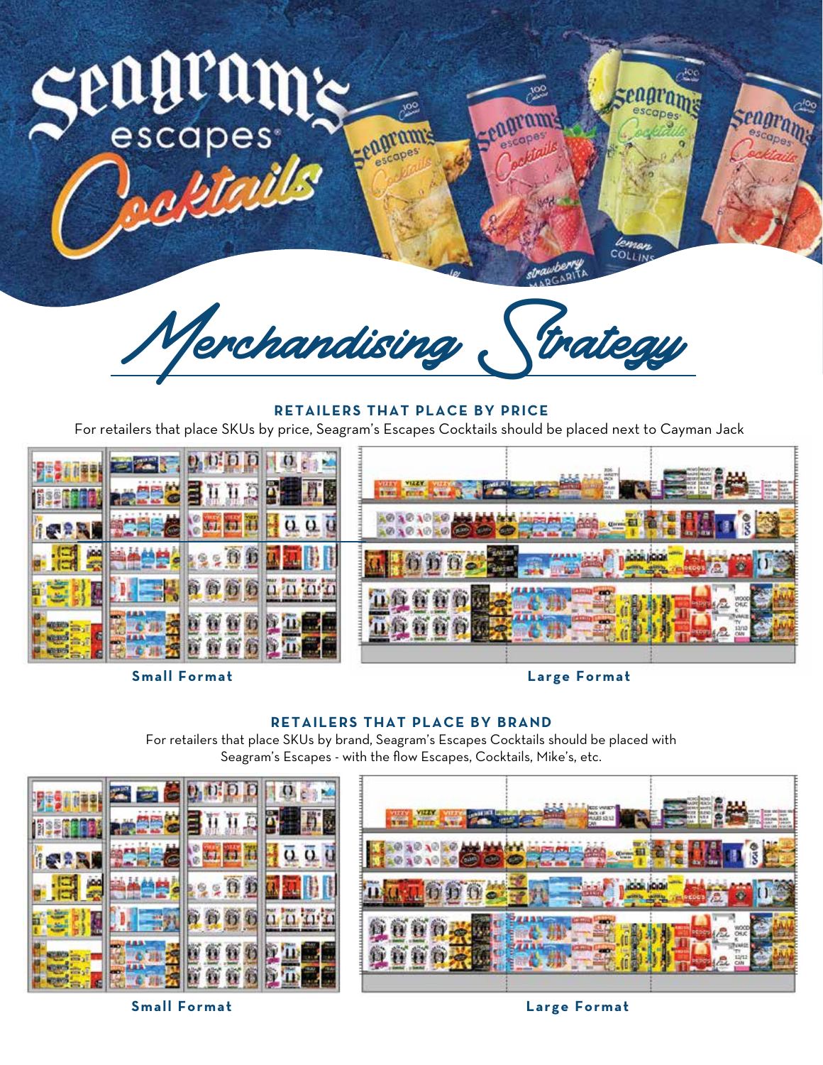

**Small Format**

**Large Format**

### **RETAILERS THAT PLACE BY BRAND**

For retailers that place SKUs by brand, Seagram's Escapes Cocktails should be placed with Seagram's Escapes - with the flow Escapes, Cocktails, Mike's, etc.



**Small Format Large Format**